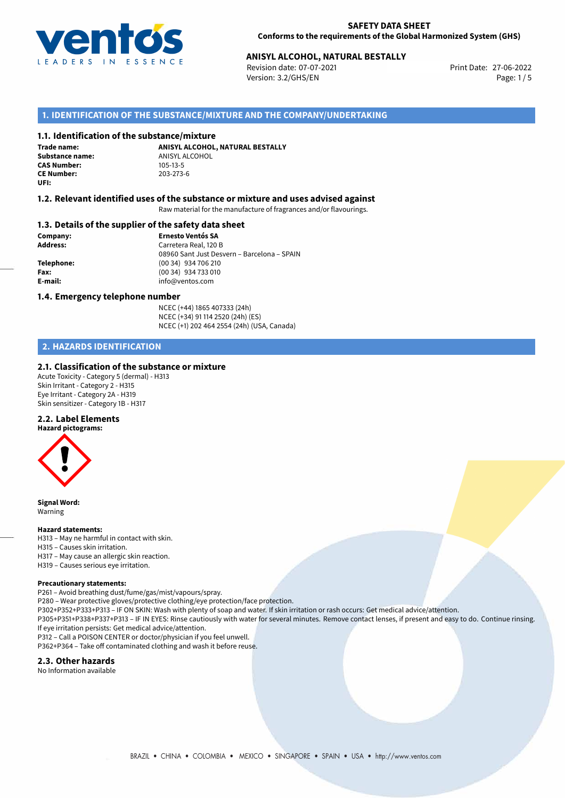

## **SAFETY DATA SHEET Conforms to the requirements of the Global Harmonized System (GHS)**

# **ANISYL ALCOHOL, NATURAL BESTALLY**<br>
Revision date: 07-07-2021<br>
Print Date: 27-06-2022

Revision date: 07-07-2021 Version: 3.2/GHS/EN Page: 1/5

# **1. IDENTIFICATION OF THE SUBSTANCE/MIXTURE AND THE COMPANY/UNDERTAKING**

## **1.1. Identification of the substance/mixture**

**Trade name: CAS Number: CE Number:** 203-273-6 **UFI:**

**ANISYL ALCOHOL, NATURAL BESTALLY Substance name:** ANISYL ALCOHOL<br> **CAS Number:** 105-13-5

## **1.2. Relevant identified uses of the substance or mixture and uses advised against**

Raw material for the manufacture of fragrances and/or flavourings.

## **1.3. Details of the supplier of the safety data sheet**

**Company: Ernesto Ventós SA Address:** Carretera Real, 120 B 08960 Sant Just Desvern – Barcelona – SPAIN **Telephone:** (00 34) 934 706 210 **Fax:** (00 34) 934 733 010 **E-mail:** info@ventos.com

#### **1.4. Emergency telephone number**

NCEC (+44) 1865 407333 (24h) NCEC (+34) 91 114 2520 (24h) (ES) NCEC (+1) 202 464 2554 (24h) (USA, Canada)

# **2. HAZARDS IDENTIFICATION**

# **2.1. Classification of the substance or mixture**

Acute Toxicity - Category 5 (dermal) - H313 Skin Irritant - Category 2 - H315 Eye Irritant - Category 2A - H319 Skin sensitizer - Category 1B - H317

# **2.2. Label Elements**



**Signal Word:** Warning

#### **Hazard statements:**

- H313 May ne harmful in contact with skin.
- H315 Causes skin irritation.
- H317 May cause an allergic skin reaction.
- H319 Causes serious eye irritation.

#### **Precautionary statements:**

P261 – Avoid breathing dust/fume/gas/mist/vapours/spray.

- P280 Wear protective gloves/protective clothing/eye protection/face protection.
- P302+P352+P333+P313 IF ON SKIN: Wash with plenty of soap and water. If skin irritation or rash occurs: Get medical advice/attention.
- P305+P351+P338+P337+P313 IF IN EYES: Rinse cautiously with water for several minutes. Remove contact lenses, if present and easy to do. Continue rinsing. If eye irritation persists: Get medical advice/attention.
- P312 Call a POISON CENTER or doctor/physician if you feel unwell.

P362+P364 – Take off contaminated clothing and wash it before reuse.

## **2.3. Other hazards**

No Information available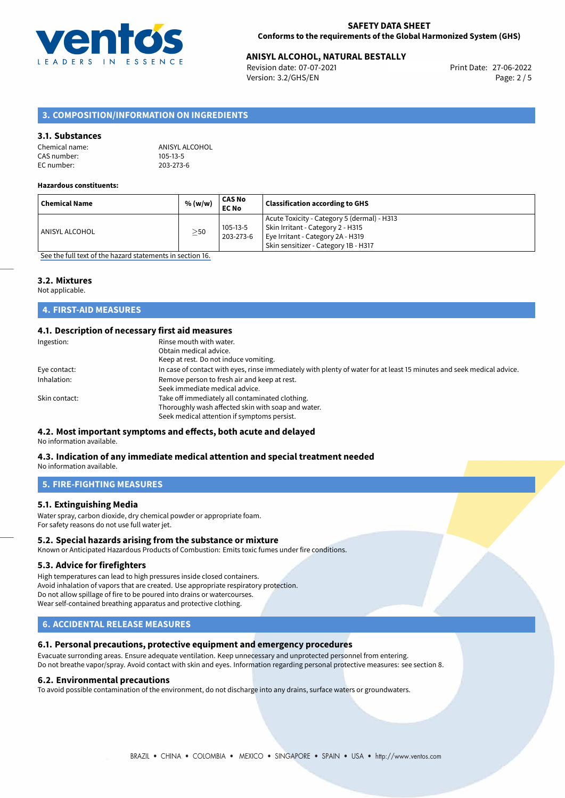

# **ANISYL ALCOHOL, NATURAL BESTALLY**<br>
Revision date: 07-07-2021<br>
Print Date: 27-06-2022

Revision date: 07-07-2021 Version: 3.2/GHS/EN Page: 2 / 5

# **3. COMPOSITION/INFORMATION ON INGREDIENTS**

# **3.1. Substances**

| Chemical name: | ANISYL ALCOHOL |
|----------------|----------------|
| CAS number:    | 105-13-5       |
| EC number:     | 203-273-6      |

#### **Hazardous constituents:**

| <b>Chemical Name</b> | % (w/w)   | CAS No<br><b>EC No</b> | <b>Classification according to GHS</b>                                                                                                                        |
|----------------------|-----------|------------------------|---------------------------------------------------------------------------------------------------------------------------------------------------------------|
| ANISYL ALCOHOL       | $\geq$ 50 | 105-13-5<br>203-273-6  | Acute Toxicity - Category 5 (dermal) - H313<br>Skin Irritant - Category 2 - H315<br>Eye Irritant - Category 2A - H319<br>Skin sensitizer - Category 1B - H317 |

[See the full text of the hazard statements in section 16.](#page-4-0)

# **3.2. Mixtures**

Not applicable.

# **4. FIRST-AID MEASURES**

# **4.1. Description of necessary first aid measures**

| Rinse mouth with water.                                                                                               |
|-----------------------------------------------------------------------------------------------------------------------|
| Obtain medical advice.                                                                                                |
| Keep at rest. Do not induce vomiting.                                                                                 |
| In case of contact with eyes, rinse immediately with plenty of water for at least 15 minutes and seek medical advice. |
| Remove person to fresh air and keep at rest.                                                                          |
| Seek immediate medical advice.                                                                                        |
| Take off immediately all contaminated clothing.                                                                       |
| Thoroughly wash affected skin with soap and water.                                                                    |
| Seek medical attention if symptoms persist.                                                                           |
|                                                                                                                       |

# **4.2. Most important symptoms and effects, both acute and delayed**

No information available.

#### **4.3. Indication of any immediate medical attention and special treatment needed** No information available.

**5. FIRE-FIGHTING MEASURES**

# **5.1. Extinguishing Media**

Water spray, carbon dioxide, dry chemical powder or appropriate foam. For safety reasons do not use full water jet.

## **5.2. Special hazards arising from the substance or mixture**

Known or Anticipated Hazardous Products of Combustion: Emits toxic fumes under fire conditions.

## **5.3. Advice for firefighters**

High temperatures can lead to high pressures inside closed containers. Avoid inhalation of vapors that are created. Use appropriate respiratory protection. Do not allow spillage of fire to be poured into drains or watercourses. Wear self-contained breathing apparatus and protective clothing.

# **6. ACCIDENTAL RELEASE MEASURES**

# **6.1. Personal precautions, protective equipment and emergency procedures**

Evacuate surronding areas. Ensure adequate ventilation. Keep unnecessary and unprotected personnel from entering. Do not breathe vapor/spray. Avoid contact with skin and eyes. Information regarding personal protective measures: see section 8.

#### **6.2. Environmental precautions**

To avoid possible contamination of the environment, do not discharge into any drains, surface waters or groundwaters.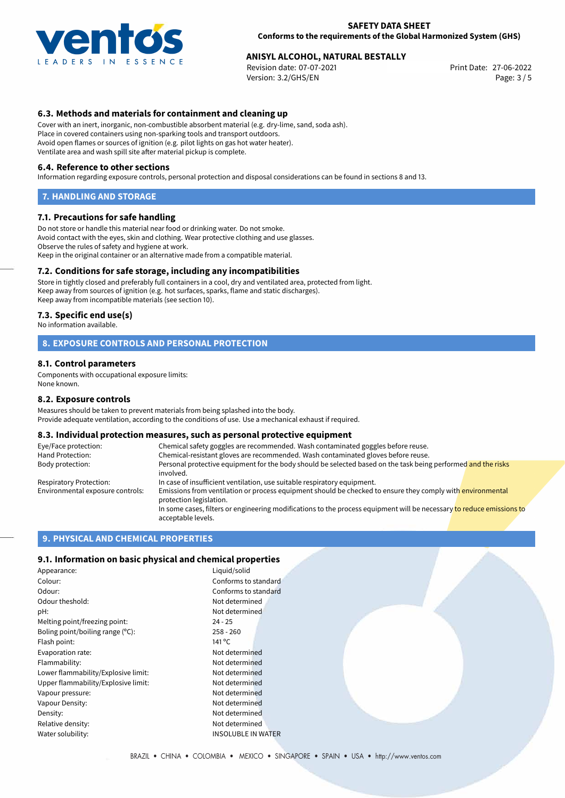

## **SAFETY DATA SHEET Conforms to the requirements of the Global Harmonized System (GHS)**

# **ANISYL ALCOHOL, NATURAL BESTALLY**<br>
Revision date: 07-07-2021<br>
Print Date: 27-06-2022

Revision date: 07-07-2021 Version: 3.2/GHS/EN Page: 3 / 5

# **6.3. Methods and materials for containment and cleaning up**

Cover with an inert, inorganic, non-combustible absorbent material (e.g. dry-lime, sand, soda ash). Place in covered containers using non-sparking tools and transport outdoors. Avoid open flames or sources of ignition (e.g. pilot lights on gas hot water heater). Ventilate area and wash spill site after material pickup is complete.

#### **6.4. Reference to other sections**

Information regarding exposure controls, personal protection and disposal considerations can be found in sections 8 and 13.

#### **7. HANDLING AND STORAGE**

#### **7.1. Precautions for safe handling**

Do not store or handle this material near food or drinking water. Do not smoke. Avoid contact with the eyes, skin and clothing. Wear protective clothing and use glasses. Observe the rules of safety and hygiene at work. Keep in the original container or an alternative made from a compatible material.

## **7.2. Conditions for safe storage, including any incompatibilities**

Store in tightly closed and preferably full containers in a cool, dry and ventilated area, protected from light. Keep away from sources of ignition (e.g. hot surfaces, sparks, flame and static discharges). Keep away from incompatible materials (see section 10).

#### **7.3. Specific end use(s)**

No information available.

## **8. EXPOSURE CONTROLS AND PERSONAL PROTECTION**

#### **8.1. Control parameters**

Components with occupational exposure limits: None known.

#### **8.2. Exposure controls**

Measures should be taken to prevent materials from being splashed into the body. Provide adequate ventilation, according to the conditions of use. Use a mechanical exhaust if required.

#### **8.3. Individual protection measures, such as personal protective equipment**

| Eye/Face protection:             | Chemical safety goggles are recommended. Wash contaminated goggles before reuse.                                                            |
|----------------------------------|---------------------------------------------------------------------------------------------------------------------------------------------|
| Hand Protection:                 | Chemical-resistant gloves are recommended. Wash contaminated gloves before reuse.                                                           |
| Body protection:                 | Personal protective equipment for the body should be selected based on the task being performed and the risks<br>involved.                  |
| Respiratory Protection:          | In case of insufficient ventilation, use suitable respiratory equipment.                                                                    |
| Environmental exposure controls: | Emissions from ventilation or process equipment should be checked to ensure they comply with environmental<br>protection legislation.       |
|                                  | In some cases, filters or engineering modifications to the process equipment will be necessary to reduce emissions to<br>acceptable levels. |

## **9. PHYSICAL AND CHEMICAL PROPERTIES**

## **9.1. Information on basic physical and chemical properties**

| Appearance:                         | Liquid/solid              |
|-------------------------------------|---------------------------|
| Colour:                             | Conforms to standard      |
| Odour:                              | Conforms to standard      |
| Odour theshold:                     | Not determined            |
| pH:                                 | Not determined            |
| Melting point/freezing point:       | $24 - 25$                 |
| Boling point/boiling range (°C):    | $258 - 260$               |
| Flash point:                        | 141 °C                    |
| Evaporation rate:                   | Not determined            |
| Flammability:                       | Not determined            |
| Lower flammability/Explosive limit: | Not determined            |
| Upper flammability/Explosive limit: | Not determined            |
| Vapour pressure:                    | Not determined            |
| Vapour Density:                     | Not determined            |
| Density:                            | Not determined            |
| Relative density:                   | Not determined            |
| Water solubility:                   | <b>INSOLUBLE IN WATER</b> |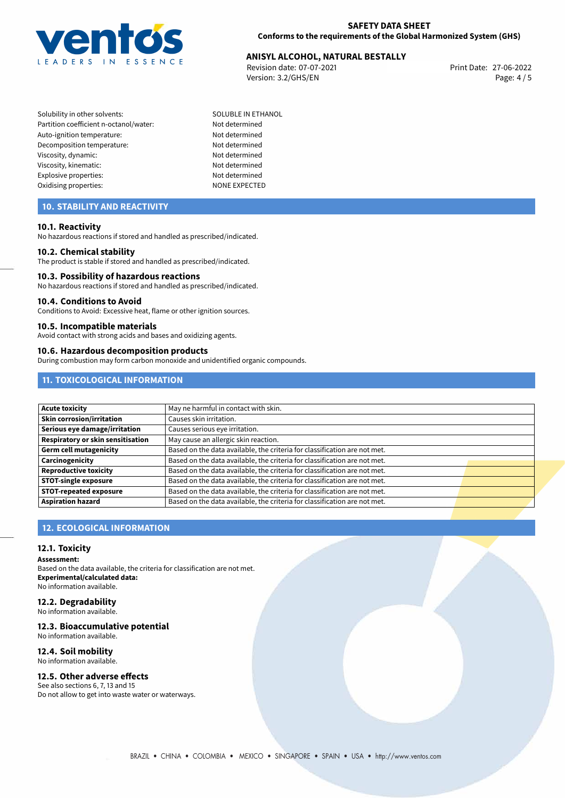

# 27-06-2022 **ANISYL ALCOHOL, NATURAL BESTALLY**

Revision date: 07-07-2021 Version: 3.2/GHS/EN Page: 4 / 5

- Solubility in other solvents: SOLUBLE IN ETHANOL Partition coefficient n-octanol/water: Not determined Auto-ignition temperature: Not determined Decomposition temperature: Not determined Viscosity, dynamic: Not determined Viscosity, kinematic: Not determined Explosive properties: Not determined Oxidising properties: NONE EXPECTED
	-

# **10. STABILITY AND REACTIVITY**

## **10.1. Reactivity**

No hazardous reactions if stored and handled as prescribed/indicated.

#### **10.2. Chemical stability**

The product is stable if stored and handled as prescribed/indicated.

## **10.3. Possibility of hazardous reactions**

No hazardous reactions if stored and handled as prescribed/indicated.

#### **10.4. Conditions to Avoid**

Conditions to Avoid: Excessive heat, flame or other ignition sources.

## **10.5. Incompatible materials**

Avoid contact with strong acids and bases and oxidizing agents.

#### **10.6. Hazardous decomposition products**

During combustion may form carbon monoxide and unidentified organic compounds.

# **11. TOXICOLOGICAL INFORMATION**

| <b>Acute toxicity</b>             | May ne harmful in contact with skin.                                      |  |
|-----------------------------------|---------------------------------------------------------------------------|--|
| <b>Skin corrosion/irritation</b>  | Causes skin irritation.                                                   |  |
| Serious eye damage/irritation     | Causes serious eye irritation.                                            |  |
| Respiratory or skin sensitisation | May cause an allergic skin reaction.                                      |  |
| Germ cell mutagenicity            | Based on the data available, the criteria for classification are not met. |  |
| <b>Carcinogenicity</b>            | Based on the data available, the criteria for classification are not met. |  |
| Reproductive toxicity             | Based on the data available, the criteria for classification are not met. |  |
| STOT-single exposure              | Based on the data available, the criteria for classification are not met. |  |
| <b>STOT-repeated exposure</b>     | Based on the data available, the criteria for classification are not met. |  |
| Aspiration hazard                 | Based on the data available, the criteria for classification are not met. |  |

# **12. ECOLOGICAL INFORMATION**

## **12.1. Toxicity**

**Assessment:**

Based on the data available, the criteria for classification are not met. **Experimental/calculated data:** No information available.

# **12.2. Degradability**

No information available.

# **12.3. Bioaccumulative potential**

No information available.

# **12.4. Soil mobility**

No information available.

# **12.5. Other adverse effects**

See also sections 6, 7, 13 and 15 Do not allow to get into waste water or waterways.